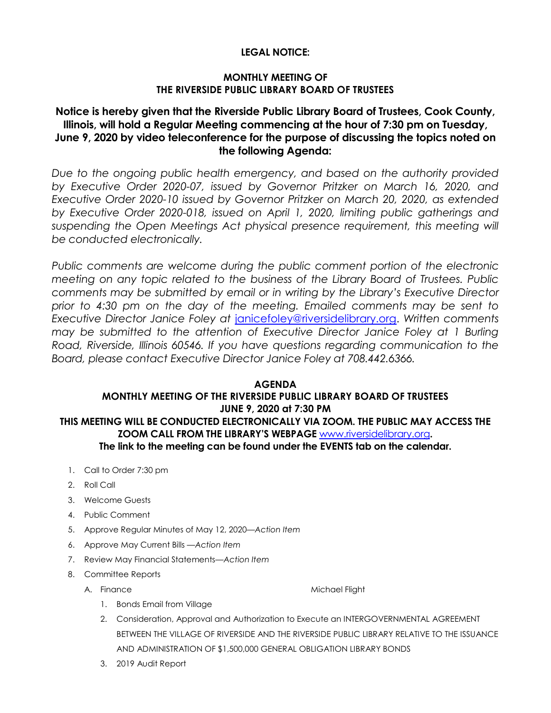### **LEGAL NOTICE:**

### **MONTHLY MEETING OF THE RIVERSIDE PUBLIC LIBRARY BOARD OF TRUSTEES**

# **Notice is hereby given that the Riverside Public Library Board of Trustees, Cook County, Illinois, will hold a Regular Meeting commencing at the hour of 7:30 pm on Tuesday, June 9, 2020 by video teleconference for the purpose of discussing the topics noted on the following Agenda:**

*Due to the ongoing public health emergency, and based on the authority provided by Executive Order 2020-07, issued by Governor Pritzker on March 16, 2020, and Executive Order 2020-10 issued by Governor Pritzker on March 20, 2020, as extended by Executive Order 2020-018, issued on April 1, 2020, limiting public gatherings and*  suspending the Open Meetings Act physical presence requirement, this meeting will *be conducted electronically.* 

*Public comments are welcome during the public comment portion of the electronic meeting on any topic related to the business of the Library Board of Trustees. Public comments may be submitted by email or in writing by the Library's Executive Director prior to 4:30 pm on the day of the meeting. Emailed comments may be sent to Executive Director Janice Foley at* [janicefoley@riversidelibrary.org.](mailto:janicefoley@riversidelibrary.org) *Written comments may be submitted to the attention of Executive Director Janice Foley at 1 Burling Road, Riverside, Illinois 60546. If you have questions regarding communication to the Board, please contact Executive Director Janice Foley at 708.442.6366.* 

### **AGENDA MONTHLY MEETING OF THE RIVERSIDE PUBLIC LIBRARY BOARD OF TRUSTEES JUNE 9, 2020 at 7:30 PM THIS MEETING WILL BE CONDUCTED ELECTRONICALLY VIA ZOOM. THE PUBLIC MAY ACCESS THE**

#### **ZOOM CALL FROM THE LIBRARY'S WEBPAGE** [www.riversidelibrary.org](http://www.riversidelibrary.org/)**. The link to the meeting can be found under the EVENTS tab on the calendar.**

- 1. Call to Order 7:30 pm
- 2. Roll Call
- 3. Welcome Guests
- 4. Public Comment
- 5. Approve Regular Minutes of May 12, 2020*—Action Item*
- 6. Approve May Current Bills —*Action Item*
- 7. Review May Financial Statements—*Action Item*
- 8. Committee Reports
	-

A. Finance Michael Flight

- 1. Bonds Email from Village
- 2. Consideration, Approval and Authorization to Execute an INTERGOVERNMENTAL AGREEMENT BETWEEN THE VILLAGE OF RIVERSIDE AND THE RIVERSIDE PUBLIC LIBRARY RELATIVE TO THE ISSUANCE AND ADMINISTRATION OF \$1,500,000 GENERAL OBLIGATION LIBRARY BONDS
- 3. 2019 Audit Report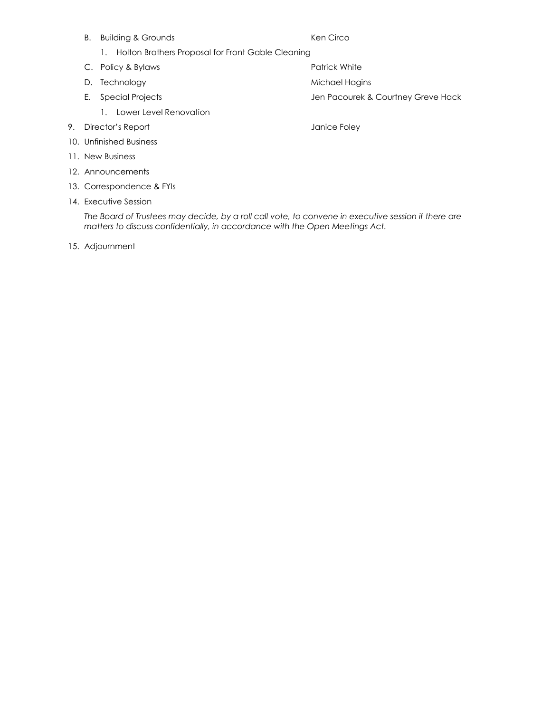- B. Building & Grounds **Ken Circo** 
	- 1. Holton Brothers Proposal for Front Gable Cleaning
- C. Policy & Bylaws **Patrick White** Patrick White
- D. Technology and the matrix of the Michael Hagins
- - 1. Lower Level Renovation
- 9. Director's Report **Director's Report Janice Foley**
- 10. Unfinished Business
- 11. New Business
- 12. Announcements
- 13. Correspondence & FYIs
- 14. Executive Session

*The Board of Trustees may decide, by a roll call vote, to convene in executive session if there are matters to discuss confidentially, in accordance with the Open Meetings Act.*

15. Adjournment

- 
- E. Special Projects and The Special Projects Account Special Projects Account Special Projects
	-
- 
- 
- -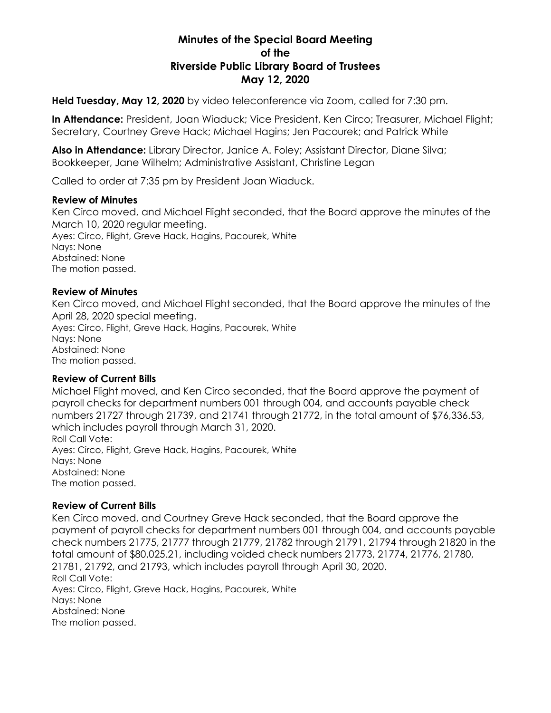# **Minutes of the Special Board Meeting of the Riverside Public Library Board of Trustees May 12, 2020**

**Held Tuesday, May 12, 2020** by video teleconference via Zoom, called for 7:30 pm.

**In Attendance:** President, Joan Wiaduck; Vice President, Ken Circo; Treasurer, Michael Flight; Secretary, Courtney Greve Hack; Michael Hagins; Jen Pacourek; and Patrick White

**Also in Attendance:** Library Director, Janice A. Foley; Assistant Director, Diane Silva; Bookkeeper, Jane Wilhelm; Administrative Assistant, Christine Legan

Called to order at 7:35 pm by President Joan Wiaduck.

### **Review of Minutes**

Ken Circo moved, and Michael Flight seconded, that the Board approve the minutes of the March 10, 2020 regular meeting. Ayes: Circo, Flight, Greve Hack, Hagins, Pacourek, White Nays: None Abstained: None The motion passed.

### **Review of Minutes**

Ken Circo moved, and Michael Flight seconded, that the Board approve the minutes of the April 28, 2020 special meeting. Ayes: Circo, Flight, Greve Hack, Hagins, Pacourek, White Nays: None Abstained: None The motion passed.

### **Review of Current Bills**

Michael Flight moved, and Ken Circo seconded, that the Board approve the payment of payroll checks for department numbers 001 through 004, and accounts payable check numbers 21727 through 21739, and 21741 through 21772, in the total amount of \$76,336.53, which includes payroll through March 31, 2020. Roll Call Vote: Ayes: Circo, Flight, Greve Hack, Hagins, Pacourek, White Nays: None Abstained: None The motion passed.

### **Review of Current Bills**

Ken Circo moved, and Courtney Greve Hack seconded, that the Board approve the payment of payroll checks for department numbers 001 through 004, and accounts payable check numbers 21775, 21777 through 21779, 21782 through 21791, 21794 through 21820 in the total amount of \$80,025.21, including voided check numbers 21773, 21774, 21776, 21780, 21781, 21792, and 21793, which includes payroll through April 30, 2020. Roll Call Vote: Ayes: Circo, Flight, Greve Hack, Hagins, Pacourek, White Nays: None Abstained: None The motion passed.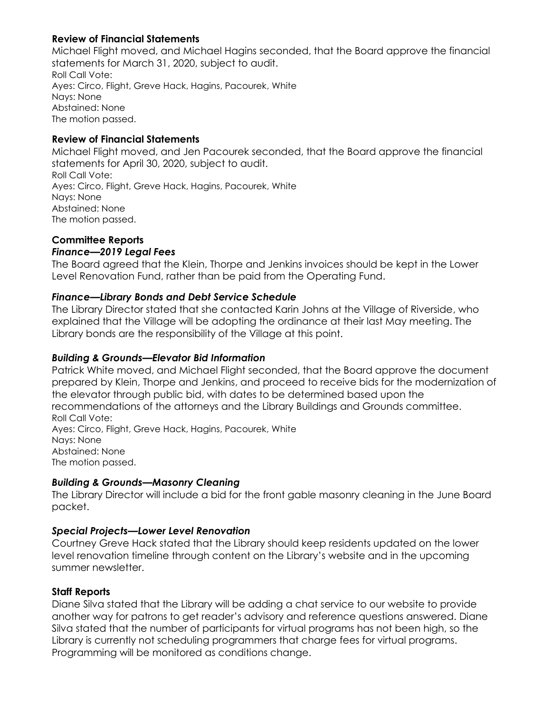## **Review of Financial Statements**

Michael Flight moved, and Michael Hagins seconded, that the Board approve the financial statements for March 31, 2020, subject to audit. Roll Call Vote: Ayes: Circo, Flight, Greve Hack, Hagins, Pacourek, White Nays: None Abstained: None The motion passed.

# **Review of Financial Statements**

Michael Flight moved, and Jen Pacourek seconded, that the Board approve the financial statements for April 30, 2020, subject to audit. Roll Call Vote: Ayes: Circo, Flight, Greve Hack, Hagins, Pacourek, White Nays: None Abstained: None The motion passed.

# **Committee Reports**

## *Finance—2019 Legal Fees*

The Board agreed that the Klein, Thorpe and Jenkins invoices should be kept in the Lower Level Renovation Fund, rather than be paid from the Operating Fund.

## *Finance—Library Bonds and Debt Service Schedule*

The Library Director stated that she contacted Karin Johns at the Village of Riverside, who explained that the Village will be adopting the ordinance at their last May meeting. The Library bonds are the responsibility of the Village at this point.

## *Building & Grounds—Elevator Bid Information*

Patrick White moved, and Michael Flight seconded, that the Board approve the document prepared by Klein, Thorpe and Jenkins, and proceed to receive bids for the modernization of the elevator through public bid, with dates to be determined based upon the recommendations of the attorneys and the Library Buildings and Grounds committee. Roll Call Vote: Ayes: Circo, Flight, Greve Hack, Hagins, Pacourek, White Nays: None Abstained: None The motion passed.

## *Building & Grounds—Masonry Cleaning*

The Library Director will include a bid for the front gable masonry cleaning in the June Board packet.

# *Special Projects—Lower Level Renovation*

Courtney Greve Hack stated that the Library should keep residents updated on the lower level renovation timeline through content on the Library's website and in the upcoming summer newsletter.

## **Staff Reports**

Diane Silva stated that the Library will be adding a chat service to our website to provide another way for patrons to get reader's advisory and reference questions answered. Diane Silva stated that the number of participants for virtual programs has not been high, so the Library is currently not scheduling programmers that charge fees for virtual programs. Programming will be monitored as conditions change.